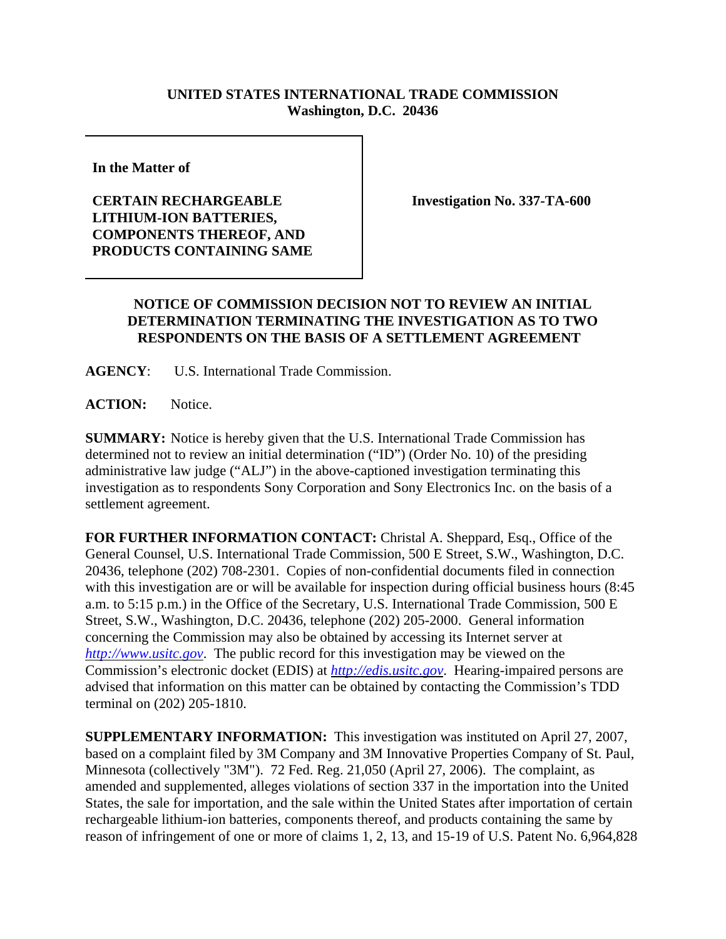## **UNITED STATES INTERNATIONAL TRADE COMMISSION Washington, D.C. 20436**

**In the Matter of** 

**CERTAIN RECHARGEABLE LITHIUM-ION BATTERIES, COMPONENTS THEREOF, AND PRODUCTS CONTAINING SAME** **Investigation No. 337-TA-600**

## **NOTICE OF COMMISSION DECISION NOT TO REVIEW AN INITIAL DETERMINATION TERMINATING THE INVESTIGATION AS TO TWO RESPONDENTS ON THE BASIS OF A SETTLEMENT AGREEMENT**

**AGENCY**: U.S. International Trade Commission.

**ACTION:** Notice.

**SUMMARY:** Notice is hereby given that the U.S. International Trade Commission has determined not to review an initial determination ("ID") (Order No. 10) of the presiding administrative law judge ("ALJ") in the above-captioned investigation terminating this investigation as to respondents Sony Corporation and Sony Electronics Inc. on the basis of a settlement agreement.

**FOR FURTHER INFORMATION CONTACT:** Christal A. Sheppard, Esq., Office of the General Counsel, U.S. International Trade Commission, 500 E Street, S.W., Washington, D.C. 20436, telephone (202) 708-2301. Copies of non-confidential documents filed in connection with this investigation are or will be available for inspection during official business hours (8:45) a.m. to 5:15 p.m.) in the Office of the Secretary, U.S. International Trade Commission, 500 E Street, S.W., Washington, D.C. 20436, telephone (202) 205-2000. General information concerning the Commission may also be obtained by accessing its Internet server at *http://www.usitc.gov*. The public record for this investigation may be viewed on the Commission's electronic docket (EDIS) at *http://edis.usitc.gov*. Hearing-impaired persons are advised that information on this matter can be obtained by contacting the Commission's TDD terminal on (202) 205-1810.

**SUPPLEMENTARY INFORMATION:** This investigation was instituted on April 27, 2007, based on a complaint filed by 3M Company and 3M Innovative Properties Company of St. Paul, Minnesota (collectively "3M"). 72 Fed. Reg. 21,050 (April 27, 2006). The complaint, as amended and supplemented, alleges violations of section 337 in the importation into the United States, the sale for importation, and the sale within the United States after importation of certain rechargeable lithium-ion batteries, components thereof, and products containing the same by reason of infringement of one or more of claims 1, 2, 13, and 15-19 of U.S. Patent No. 6,964,828